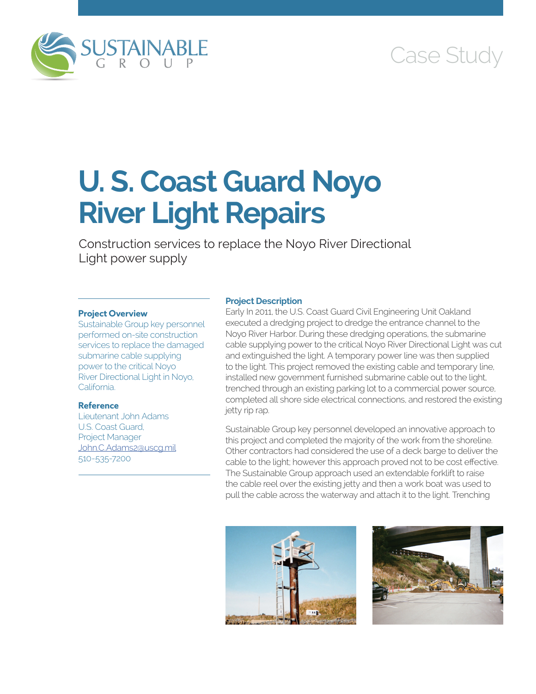

# Case Study

# **U. S. Coast Guard Noyo River Light Repairs**

Construction services to replace the Noyo River Directional Light power supply

### **Project Overview**

Sustainable Group key personnel performed on-site construction services to replace the damaged submarine cable supplying power to the critical Noyo River Directional Light in Noyo, California.

# **Reference**

Lieutenant John Adams U.S. Coast Guard, Project Manager [John.C.Adams2@uscg.mil](mailto:John.C.Adams2@uscg.mil) 510-535-7200

## **Project Description**

Early In 2011, the U.S. Coast Guard Civil Engineering Unit Oakland executed a dredging project to dredge the entrance channel to the Noyo River Harbor. During these dredging operations, the submarine cable supplying power to the critical Noyo River Directional Light was cut and extinguished the light. A temporary power line was then supplied to the light. This project removed the existing cable and temporary line, installed new government furnished submarine cable out to the light, trenched through an existing parking lot to a commercial power source, completed all shore side electrical connections, and restored the existing jetty rip rap.

Sustainable Group key personnel developed an innovative approach to this project and completed the majority of the work from the shoreline. Other contractors had considered the use of a deck barge to deliver the cable to the light; however this approach proved not to be cost effective. The Sustainable Group approach used an extendable forklift to raise the cable reel over the existing jetty and then a work boat was used to pull the cable across the waterway and attach it to the light. Trenching